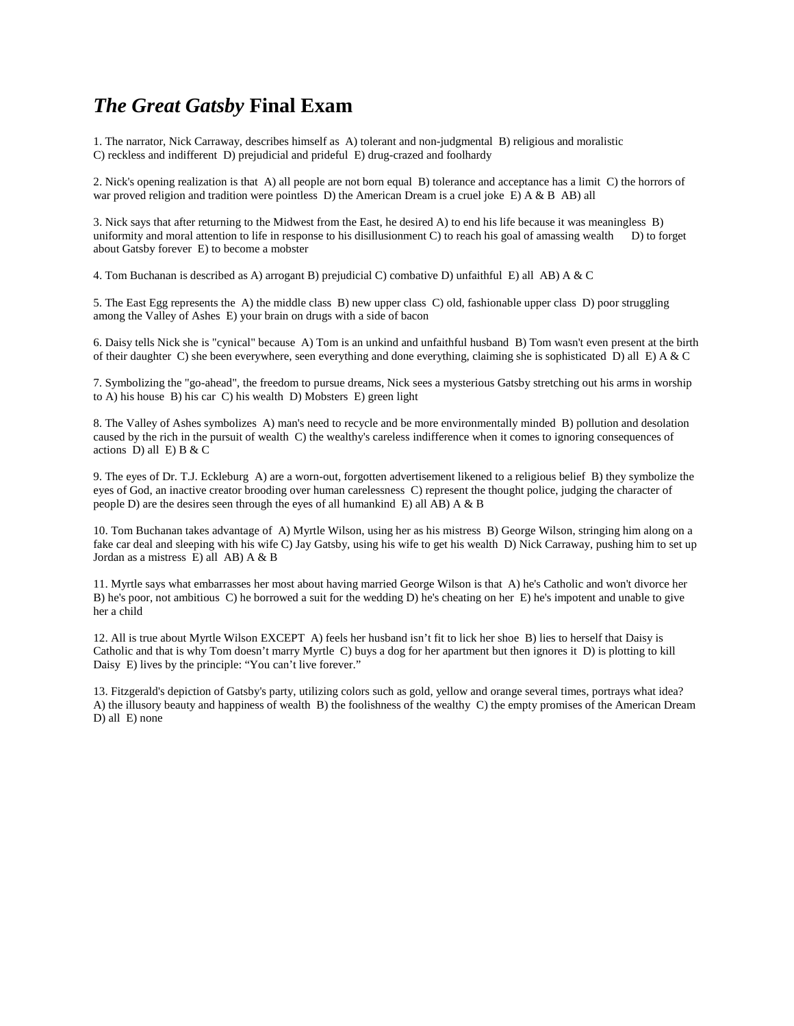# *The Great Gatsby* **Final Exam**

1. The narrator, Nick Carraway, describes himself as A) tolerant and non-judgmental B) religious and moralistic C) reckless and indifferent D) prejudicial and prideful E) drug-crazed and foolhardy

2. Nick's opening realization is that A) all people are not born equal B) tolerance and acceptance has a limit C) the horrors of war proved religion and tradition were pointless D) the American Dream is a cruel joke E) A & B AB) all

3. Nick says that after returning to the Midwest from the East, he desired A) to end his life because it was meaningless B) uniformity and moral attention to life in response to his disillusionment C) to reach his goal of amassing wealth D) to forget about Gatsby forever E) to become a mobster

4. Tom Buchanan is described as A) arrogant B) prejudicial C) combative D) unfaithful E) all AB) A & C

5. The East Egg represents the A) the middle class B) new upper class C) old, fashionable upper class D) poor struggling among the Valley of Ashes E) your brain on drugs with a side of bacon

6. Daisy tells Nick she is "cynical" because A) Tom is an unkind and unfaithful husband B) Tom wasn't even present at the birth of their daughter C) she been everywhere, seen everything and done everything, claiming she is sophisticated  $\bar{D}$ ) all E) A & C

7. Symbolizing the "go-ahead", the freedom to pursue dreams, Nick sees a mysterious Gatsby stretching out his arms in worship to A) his house B) his car C) his wealth D) Mobsters E) green light

8. The Valley of Ashes symbolizes A) man's need to recycle and be more environmentally minded B) pollution and desolation caused by the rich in the pursuit of wealth C) the wealthy's careless indifference when it comes to ignoring consequences of actions  $D$ ) all  $E$ ) B & C

9. The eyes of Dr. T.J. Eckleburg A) are a worn-out, forgotten advertisement likened to a religious belief B) they symbolize the eyes of God, an inactive creator brooding over human carelessness C) represent the thought police, judging the character of people D) are the desires seen through the eyes of all humankind E) all  $\overline{AB}$ ) A & B

10. Tom Buchanan takes advantage of A) Myrtle Wilson, using her as his mistress B) George Wilson, stringing him along on a fake car deal and sleeping with his wife C) Jay Gatsby, using his wife to get his wealth D) Nick Carraway, pushing him to set up Jordan as a mistress E) all AB) A & B

11. Myrtle says what embarrasses her most about having married George Wilson is that A) he's Catholic and won't divorce her B) he's poor, not ambitious C) he borrowed a suit for the wedding D) he's cheating on her E) he's impotent and unable to give her a child

12. All is true about Myrtle Wilson EXCEPT A) feels her husband isn't fit to lick her shoe B) lies to herself that Daisy is Catholic and that is why Tom doesn't marry Myrtle C) buys a dog for her apartment but then ignores it D) is plotting to kill Daisy E) lives by the principle: "You can't live forever."

13. Fitzgerald's depiction of Gatsby's party, utilizing colors such as gold, yellow and orange several times, portrays what idea? A) the illusory beauty and happiness of wealth B) the foolishness of the wealthy C) the empty promises of the American Dream D) all E) none